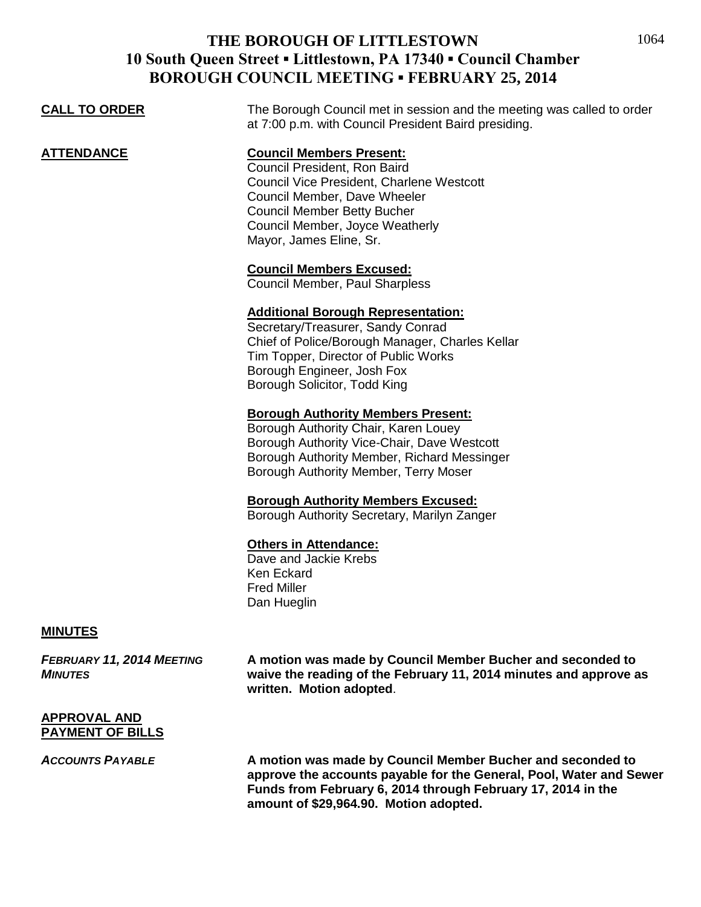|                      | DONOUGH COUNCIL MILL HNG - FLDNUAN I <i>25, 2</i> 014                                                                                                                                                                                            |
|----------------------|--------------------------------------------------------------------------------------------------------------------------------------------------------------------------------------------------------------------------------------------------|
| <b>CALL TO ORDER</b> | The Borough Council met in session and the meeting was called to order<br>at 7:00 p.m. with Council President Baird presiding.                                                                                                                   |
| <b>ATTENDANCE</b>    | <b>Council Members Present:</b><br>Council President, Ron Baird<br>Council Vice President, Charlene Westcott<br>Council Member, Dave Wheeler<br><b>Council Member Betty Bucher</b><br>Council Member, Joyce Weatherly<br>Mayor, James Eline, Sr. |
|                      | <b>Council Members Excused:</b><br>Council Member, Paul Sharpless                                                                                                                                                                                |
|                      | <b>Additional Borough Representation:</b><br>Secretary/Treasurer, Sandy Conrad<br>Chief of Police/Borough Manager, Charles Kellar<br>Tim Topper, Director of Public Works<br>Borough Engineer, Josh Fox<br>Borough Solicitor, Todd King          |
|                      | <b>Borough Authority Members Present:</b><br>Borough Authority Chair, Karen Louey<br>Borough Authority Vice-Chair, Dave Westcott<br>Borough Authority Member, Richard Messinger<br>Borough Authority Member, Terry Moser                         |
|                      | <b>Borough Authority Members Excused:</b><br>Borough Authority Secretary, Marilyn Zanger                                                                                                                                                         |
|                      | <b>Others in Attendance:</b><br>Dave and Jackie Krebs<br>Ken Eckard<br><b>Fred Miller</b><br>Dan Hueglin                                                                                                                                         |

#### **MINUTES**

*FEBRUARY 11, 2014 MEETING* **A motion was made by Council Member Bucher and seconded to**  *MINUTES* **waive the reading of the February 11, 2014 minutes and approve as written. Motion adopted**.

#### **APPROVAL AND PAYMENT OF BILLS**

*ACCOUNTS PAYABLE* **A motion was made by Council Member Bucher and seconded to approve the accounts payable for the General, Pool, Water and Sewer Funds from February 6, 2014 through February 17, 2014 in the amount of \$29,964.90. Motion adopted.**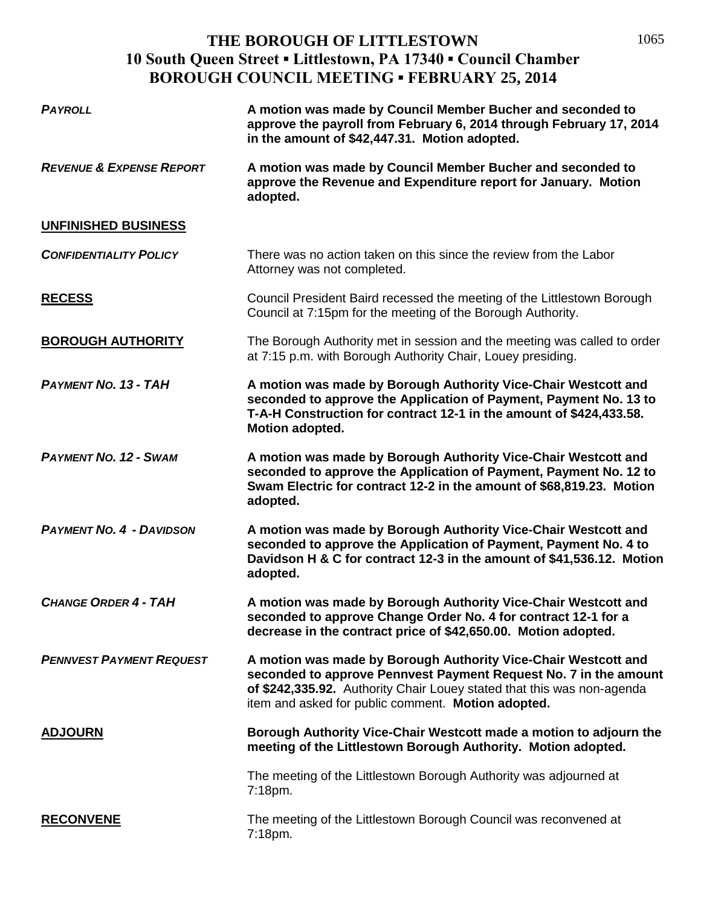1065

| <b>PAYROLL</b>                      | A motion was made by Council Member Bucher and seconded to<br>approve the payroll from February 6, 2014 through February 17, 2014<br>in the amount of \$42,447.31. Motion adopted.                                                                                 |
|-------------------------------------|--------------------------------------------------------------------------------------------------------------------------------------------------------------------------------------------------------------------------------------------------------------------|
| <b>REVENUE &amp; EXPENSE REPORT</b> | A motion was made by Council Member Bucher and seconded to<br>approve the Revenue and Expenditure report for January. Motion<br>adopted.                                                                                                                           |
| UNFINISHED BUSINESS                 |                                                                                                                                                                                                                                                                    |
| <b>CONFIDENTIALITY POLICY</b>       | There was no action taken on this since the review from the Labor<br>Attorney was not completed.                                                                                                                                                                   |
| <b>RECESS</b>                       | Council President Baird recessed the meeting of the Littlestown Borough<br>Council at 7:15pm for the meeting of the Borough Authority.                                                                                                                             |
| <b>BOROUGH AUTHORITY</b>            | The Borough Authority met in session and the meeting was called to order<br>at 7:15 p.m. with Borough Authority Chair, Louey presiding.                                                                                                                            |
| <b>PAYMENT NO. 13 - TAH</b>         | A motion was made by Borough Authority Vice-Chair Westcott and<br>seconded to approve the Application of Payment, Payment No. 13 to<br>T-A-H Construction for contract 12-1 in the amount of \$424,433.58.<br><b>Motion adopted.</b>                               |
| <b>PAYMENT NO. 12 - SWAM</b>        | A motion was made by Borough Authority Vice-Chair Westcott and<br>seconded to approve the Application of Payment, Payment No. 12 to<br>Swam Electric for contract 12-2 in the amount of \$68,819.23. Motion<br>adopted.                                            |
| <b>PAYMENT NO. 4 - DAVIDSON</b>     | A motion was made by Borough Authority Vice-Chair Westcott and<br>seconded to approve the Application of Payment, Payment No. 4 to<br>Davidson H & C for contract 12-3 in the amount of \$41,536.12. Motion<br>adopted.                                            |
| <b>CHANGE ORDER 4 - TAH</b>         | A motion was made by Borough Authority Vice-Chair Westcott and<br>seconded to approve Change Order No. 4 for contract 12-1 for a<br>decrease in the contract price of \$42,650.00. Motion adopted.                                                                 |
| <b>PENNVEST PAYMENT REQUEST</b>     | A motion was made by Borough Authority Vice-Chair Westcott and<br>seconded to approve Pennvest Payment Request No. 7 in the amount<br>of \$242,335.92. Authority Chair Louey stated that this was non-agenda<br>item and asked for public comment. Motion adopted. |
| <b>ADJOURN</b>                      | Borough Authority Vice-Chair Westcott made a motion to adjourn the<br>meeting of the Littlestown Borough Authority. Motion adopted.                                                                                                                                |
|                                     | The meeting of the Littlestown Borough Authority was adjourned at<br>7:18pm.                                                                                                                                                                                       |
| <b>RECONVENE</b>                    | The meeting of the Littlestown Borough Council was reconvened at<br>7:18pm.                                                                                                                                                                                        |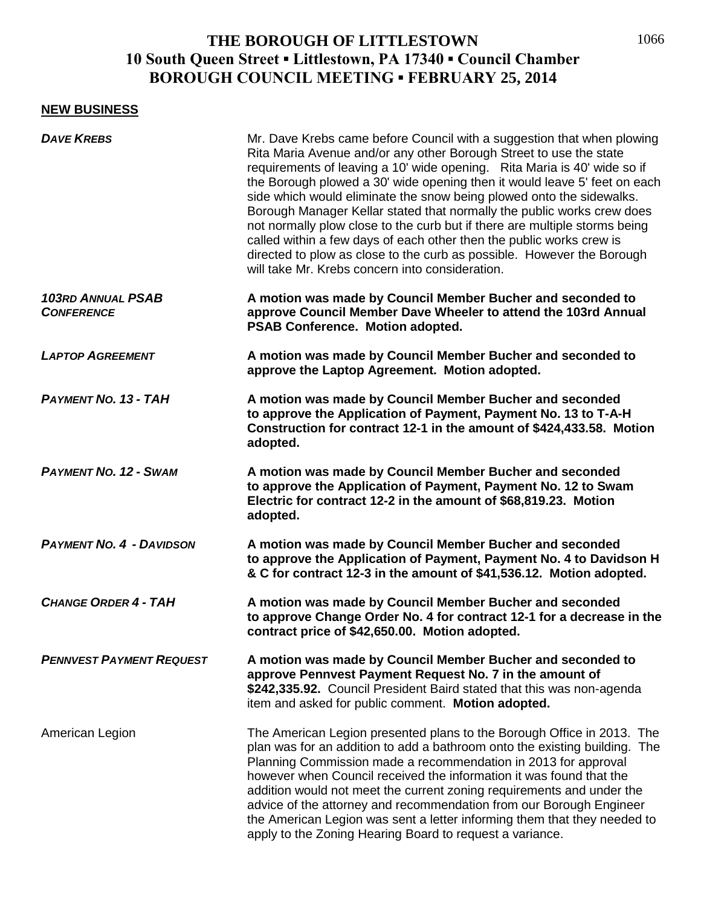#### **NEW BUSINESS**

| <b>DAVE KREBS</b>                             | Mr. Dave Krebs came before Council with a suggestion that when plowing<br>Rita Maria Avenue and/or any other Borough Street to use the state<br>requirements of leaving a 10' wide opening. Rita Maria is 40' wide so if<br>the Borough plowed a 30' wide opening then it would leave 5' feet on each<br>side which would eliminate the snow being plowed onto the sidewalks.<br>Borough Manager Kellar stated that normally the public works crew does<br>not normally plow close to the curb but if there are multiple storms being<br>called within a few days of each other then the public works crew is<br>directed to plow as close to the curb as possible. However the Borough<br>will take Mr. Krebs concern into consideration. |
|-----------------------------------------------|--------------------------------------------------------------------------------------------------------------------------------------------------------------------------------------------------------------------------------------------------------------------------------------------------------------------------------------------------------------------------------------------------------------------------------------------------------------------------------------------------------------------------------------------------------------------------------------------------------------------------------------------------------------------------------------------------------------------------------------------|
| <b>103RD ANNUAL PSAB</b><br><b>CONFERENCE</b> | A motion was made by Council Member Bucher and seconded to<br>approve Council Member Dave Wheeler to attend the 103rd Annual<br>PSAB Conference. Motion adopted.                                                                                                                                                                                                                                                                                                                                                                                                                                                                                                                                                                           |
| <b>LAPTOP AGREEMENT</b>                       | A motion was made by Council Member Bucher and seconded to<br>approve the Laptop Agreement. Motion adopted.                                                                                                                                                                                                                                                                                                                                                                                                                                                                                                                                                                                                                                |
| <b>PAYMENT NO. 13 - TAH</b>                   | A motion was made by Council Member Bucher and seconded<br>to approve the Application of Payment, Payment No. 13 to T-A-H<br>Construction for contract 12-1 in the amount of \$424,433.58. Motion<br>adopted.                                                                                                                                                                                                                                                                                                                                                                                                                                                                                                                              |
| <b>PAYMENT NO. 12 - SWAM</b>                  | A motion was made by Council Member Bucher and seconded<br>to approve the Application of Payment, Payment No. 12 to Swam<br>Electric for contract 12-2 in the amount of \$68,819.23. Motion<br>adopted.                                                                                                                                                                                                                                                                                                                                                                                                                                                                                                                                    |
| <b>PAYMENT NO. 4 - DAVIDSON</b>               | A motion was made by Council Member Bucher and seconded<br>to approve the Application of Payment, Payment No. 4 to Davidson H<br>& C for contract 12-3 in the amount of \$41,536.12. Motion adopted.                                                                                                                                                                                                                                                                                                                                                                                                                                                                                                                                       |
| <b>CHANGE ORDER 4 - TAH</b>                   | A motion was made by Council Member Bucher and seconded<br>to approve Change Order No. 4 for contract 12-1 for a decrease in the<br>contract price of \$42,650.00. Motion adopted.                                                                                                                                                                                                                                                                                                                                                                                                                                                                                                                                                         |
| <b>PENNVEST PAYMENT REQUEST</b>               | A motion was made by Council Member Bucher and seconded to<br>approve Pennvest Payment Request No. 7 in the amount of<br>\$242,335.92. Council President Baird stated that this was non-agenda<br>item and asked for public comment. Motion adopted.                                                                                                                                                                                                                                                                                                                                                                                                                                                                                       |
| American Legion                               | The American Legion presented plans to the Borough Office in 2013. The<br>plan was for an addition to add a bathroom onto the existing building. The<br>Planning Commission made a recommendation in 2013 for approval<br>however when Council received the information it was found that the<br>addition would not meet the current zoning requirements and under the<br>advice of the attorney and recommendation from our Borough Engineer<br>the American Legion was sent a letter informing them that they needed to<br>apply to the Zoning Hearing Board to request a variance.                                                                                                                                                      |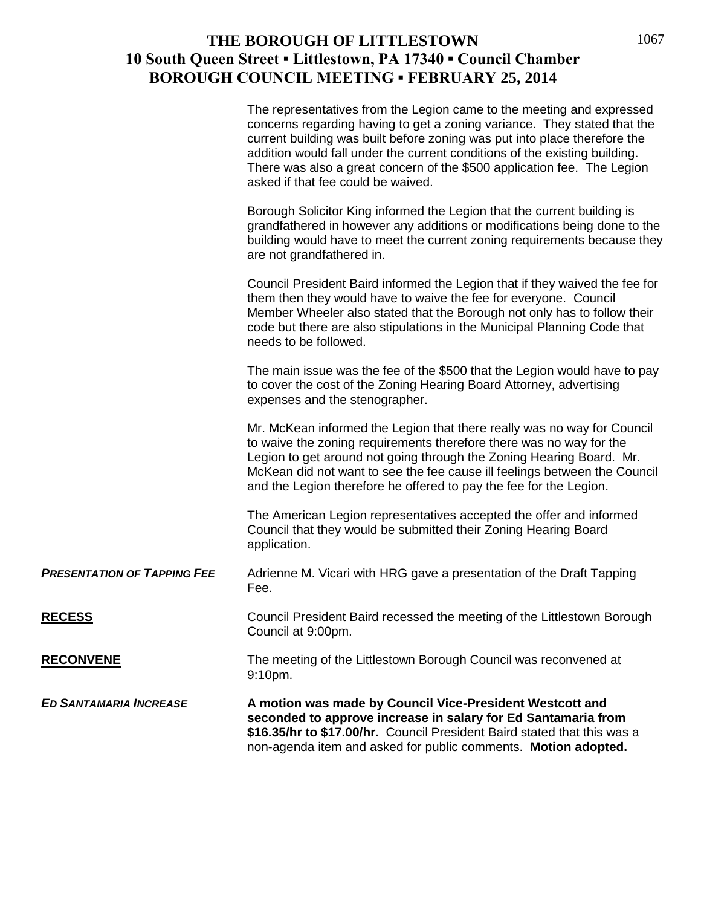|                                    | The representatives from the Legion came to the meeting and expressed<br>concerns regarding having to get a zoning variance. They stated that the<br>current building was built before zoning was put into place therefore the<br>addition would fall under the current conditions of the existing building.<br>There was also a great concern of the \$500 application fee. The Legion<br>asked if that fee could be waived. |
|------------------------------------|-------------------------------------------------------------------------------------------------------------------------------------------------------------------------------------------------------------------------------------------------------------------------------------------------------------------------------------------------------------------------------------------------------------------------------|
|                                    | Borough Solicitor King informed the Legion that the current building is<br>grandfathered in however any additions or modifications being done to the<br>building would have to meet the current zoning requirements because they<br>are not grandfathered in.                                                                                                                                                                 |
|                                    | Council President Baird informed the Legion that if they waived the fee for<br>them then they would have to waive the fee for everyone. Council<br>Member Wheeler also stated that the Borough not only has to follow their<br>code but there are also stipulations in the Municipal Planning Code that<br>needs to be followed.                                                                                              |
|                                    | The main issue was the fee of the \$500 that the Legion would have to pay<br>to cover the cost of the Zoning Hearing Board Attorney, advertising<br>expenses and the stenographer.                                                                                                                                                                                                                                            |
|                                    | Mr. McKean informed the Legion that there really was no way for Council<br>to waive the zoning requirements therefore there was no way for the<br>Legion to get around not going through the Zoning Hearing Board. Mr.<br>McKean did not want to see the fee cause ill feelings between the Council<br>and the Legion therefore he offered to pay the fee for the Legion.                                                     |
|                                    | The American Legion representatives accepted the offer and informed<br>Council that they would be submitted their Zoning Hearing Board<br>application.                                                                                                                                                                                                                                                                        |
| <b>PRESENTATION OF TAPPING FEE</b> | Adrienne M. Vicari with HRG gave a presentation of the Draft Tapping<br>Fee.                                                                                                                                                                                                                                                                                                                                                  |
| <u>RECESS</u>                      | Council President Baird recessed the meeting of the Littlestown Borough<br>Council at 9:00pm.                                                                                                                                                                                                                                                                                                                                 |
| <b>RECONVENE</b>                   | The meeting of the Littlestown Borough Council was reconvened at<br>9:10pm.                                                                                                                                                                                                                                                                                                                                                   |
| <b>ED SANTAMARIA INCREASE</b>      | A motion was made by Council Vice-President Westcott and<br>seconded to approve increase in salary for Ed Santamaria from<br>\$16.35/hr to \$17.00/hr. Council President Baird stated that this was a<br>non-agenda item and asked for public comments. Motion adopted.                                                                                                                                                       |